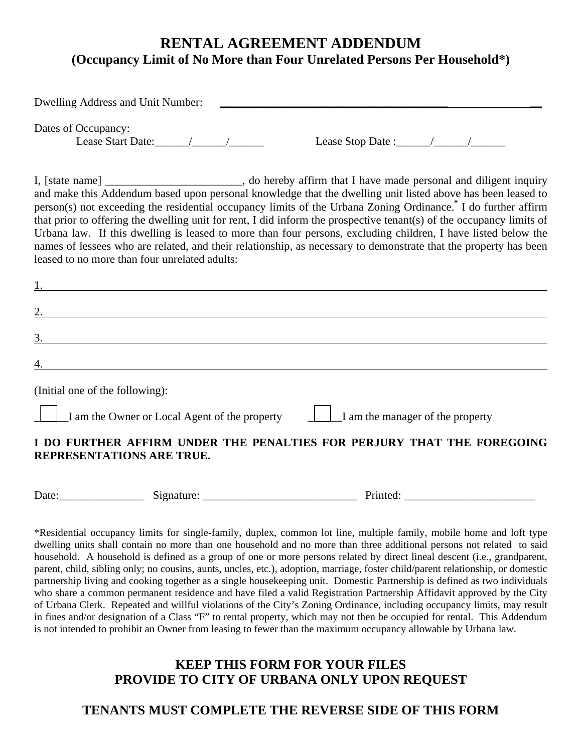## **RENTAL AGREEMENT ADDENDUM (Occupancy Limit of No More than Four Unrelated Persons Per Household\*)**

| Dwelling Address and Unit Number:                                                                                                                                                                                                                                                                                                                                                                                                                                                                                                                                                                                                                                                                                                                                    |
|----------------------------------------------------------------------------------------------------------------------------------------------------------------------------------------------------------------------------------------------------------------------------------------------------------------------------------------------------------------------------------------------------------------------------------------------------------------------------------------------------------------------------------------------------------------------------------------------------------------------------------------------------------------------------------------------------------------------------------------------------------------------|
| Dates of Occupancy:                                                                                                                                                                                                                                                                                                                                                                                                                                                                                                                                                                                                                                                                                                                                                  |
| I, [state name] _________________________, do hereby affirm that I have made personal and diligent inquiry<br>and make this Addendum based upon personal knowledge that the dwelling unit listed above has been leased to<br>person(s) not exceeding the residential occupancy limits of the Urbana Zoning Ordinance. <sup>*</sup> I do further affirm<br>that prior to offering the dwelling unit for rent, I did inform the prospective tenant(s) of the occupancy limits of<br>Urbana law. If this dwelling is leased to more than four persons, excluding children, I have listed below the<br>names of lessees who are related, and their relationship, as necessary to demonstrate that the property has been<br>leased to no more than four unrelated adults: |
| <u> 1989 - Johann Stoff, deutscher Stoffen und der Stoffen und der Stoffen und der Stoffen und der Stoffen und der</u>                                                                                                                                                                                                                                                                                                                                                                                                                                                                                                                                                                                                                                               |
|                                                                                                                                                                                                                                                                                                                                                                                                                                                                                                                                                                                                                                                                                                                                                                      |
| 3.<br><u> 1980 - Jan Samuel Barbara, margaret e populari e populari e populari e populari e populari e populari e pop</u>                                                                                                                                                                                                                                                                                                                                                                                                                                                                                                                                                                                                                                            |
| <u> 1980 - Johann Stoff, deutscher Stoffen und der Stoffen und der Stoffen und der Stoffen und der Stoffen und de</u>                                                                                                                                                                                                                                                                                                                                                                                                                                                                                                                                                                                                                                                |
| (Initial one of the following):                                                                                                                                                                                                                                                                                                                                                                                                                                                                                                                                                                                                                                                                                                                                      |
| $\Box$ I am the Owner or Local Agent of the property<br>$\Box$ I am the manager of the property                                                                                                                                                                                                                                                                                                                                                                                                                                                                                                                                                                                                                                                                      |
| I DO FURTHER AFFIRM UNDER THE PENALTIES FOR PERJURY THAT THE FOREGOING<br>REPRESENTATIONS ARE TRUE.                                                                                                                                                                                                                                                                                                                                                                                                                                                                                                                                                                                                                                                                  |

Date:\_\_\_\_\_\_\_\_\_\_\_\_\_\_\_ Signature: \_\_\_\_\_\_\_\_\_\_\_\_\_\_\_\_\_\_\_\_\_\_\_\_\_\_\_ Printed: \_\_\_\_\_\_\_\_\_\_\_\_\_\_\_\_\_\_\_\_\_\_\_

\*Residential occupancy limits for single-family, duplex, common lot line, multiple family, mobile home and loft type dwelling units shall contain no more than one household and no more than three additional persons not related to said household. A household is defined as a group of one or more persons related by direct lineal descent (i.e., grandparent, parent, child, sibling only; no cousins, aunts, uncles, etc.), adoption, marriage, foster child/parent relationship, or domestic partnership living and cooking together as a single housekeeping unit. Domestic Partnership is defined as two individuals who share a common permanent residence and have filed a valid Registration Partnership Affidavit approved by the City of Urbana Clerk. Repeated and willful violations of the City's Zoning Ordinance, including occupancy limits, may result in fines and/or designation of a Class "F" to rental property, which may not then be occupied for rental. This Addendum is not intended to prohibit an Owner from leasing to fewer than the maximum occupancy allowable by Urbana law.

#### **KEEP THIS FORM FOR YOUR FILES PROVIDE TO CITY OF URBANA ONLY UPON REQUEST**

#### **TENANTS MUST COMPLETE THE REVERSE SIDE OF THIS FORM**